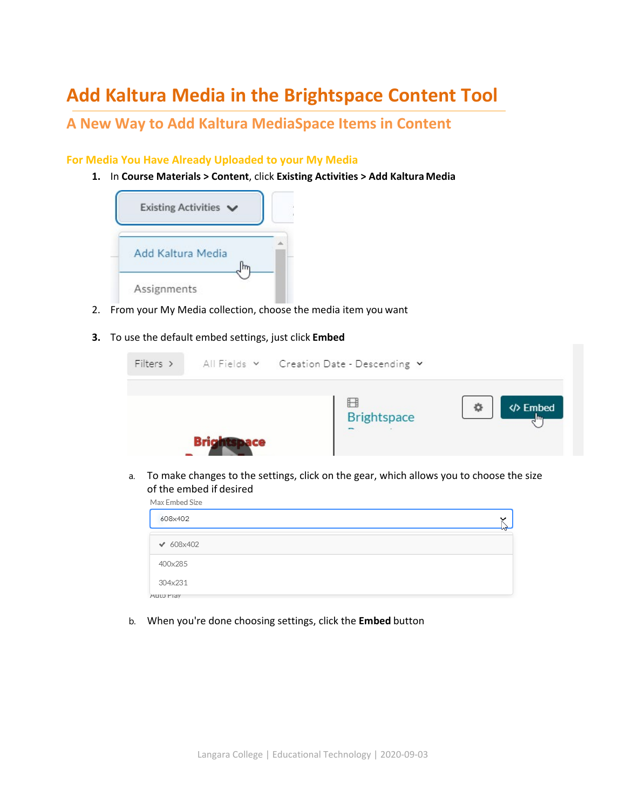# **Add Kaltura Media in the Brightspace Content Tool**

## **A New Way to Add Kaltura MediaSpace Items in Content**

#### **For Media You Have Already Uploaded to your My Media**

**1.** In **Course Materials > Content**, click **Existing Activities > Add Kaltura Media** 



- 2. From your My Media collection, choose the media item you want
- **3.** To use the default embed settings, just click **Embed**

| $Filers$ > | All Fields v Creation Date - Descending v |                               |
|------------|-------------------------------------------|-------------------------------|
|            | <b>Brightspace</b>                        | <b>/&gt; Embed</b><br>Ð<br>Im |

a. To make changes to the settings, click on the gear, which allows you to choose the size of the embed if desired

| Max Embed Size   |         |  |  |  |
|------------------|---------|--|--|--|
| 608x402          | ີ<br>lл |  |  |  |
|                  |         |  |  |  |
| $\times 608x402$ |         |  |  |  |
|                  |         |  |  |  |
| 400x285          |         |  |  |  |
|                  |         |  |  |  |
| 304x231          |         |  |  |  |
|                  |         |  |  |  |
| <b>AULO PIAY</b> |         |  |  |  |

b. When you're done choosing settings, click the **Embed** button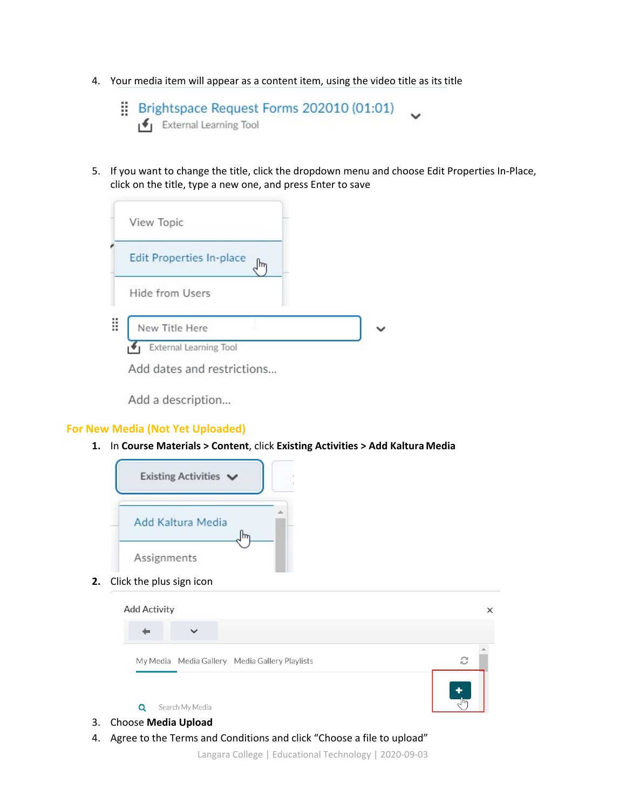- 4. Your media item will appear as a content item, using the video title as its title
	- Brightspace Request Forms 202010 (01:01)  $\left| \rule{0pt}{13pt} \right|$  External Learning Tool
- 5. If you want to change the title, click the dropdown menu and choose Edit Properties In-Place, click on the title, type a new one, and press Enter to save



Add a description...

#### **For New Media (Not Yet Uploaded)**

**1.** In **Course Materials > Content**, click **Existing Activities > Add Kaltura Media** 



**2.** Click the plus sign icon

| $\checkmark$                                   |   |
|------------------------------------------------|---|
| My Media Media Gallery Media Gallery Playlists | c |
|                                                | ٠ |

- 3. Choose **Media Upload**
- 4. Agree to the Terms and Conditions and click "Choose a file to upload"

Langara College | Educational Technology | 2020-09-03